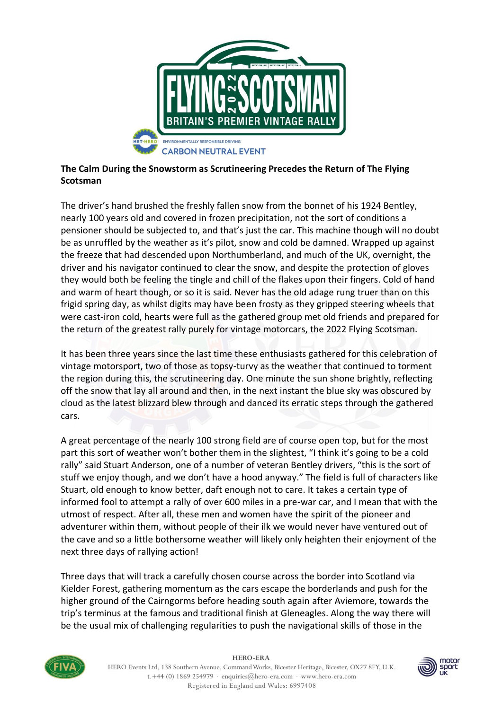

## **The Calm During the Snowstorm as Scrutineering Precedes the Return of The Flying Scotsman**

The driver's hand brushed the freshly fallen snow from the bonnet of his 1924 Bentley, nearly 100 years old and covered in frozen precipitation, not the sort of conditions a pensioner should be subjected to, and that's just the car. This machine though will no doubt be as unruffled by the weather as it's pilot, snow and cold be damned. Wrapped up against the freeze that had descended upon Northumberland, and much of the UK, overnight, the driver and his navigator continued to clear the snow, and despite the protection of gloves they would both be feeling the tingle and chill of the flakes upon their fingers. Cold of hand and warm of heart though, or so it is said. Never has the old adage rung truer than on this frigid spring day, as whilst digits may have been frosty as they gripped steering wheels that were cast-iron cold, hearts were full as the gathered group met old friends and prepared for the return of the greatest rally purely for vintage motorcars, the 2022 Flying Scotsman.

It has been three years since the last time these enthusiasts gathered for this celebration of vintage motorsport, two of those as topsy-turvy as the weather that continued to torment the region during this, the scrutineering day. One minute the sun shone brightly, reflecting off the snow that lay all around and then, in the next instant the blue sky was obscured by cloud as the latest blizzard blew through and danced its erratic steps through the gathered cars.

A great percentage of the nearly 100 strong field are of course open top, but for the most part this sort of weather won't bother them in the slightest, "I think it's going to be a cold rally" said Stuart Anderson, one of a number of veteran Bentley drivers, "this is the sort of stuff we enjoy though, and we don't have a hood anyway." The field is full of characters like Stuart, old enough to know better, daft enough not to care. It takes a certain type of informed fool to attempt a rally of over 600 miles in a pre-war car, and I mean that with the utmost of respect. After all, these men and women have the spirit of the pioneer and adventurer within them, without people of their ilk we would never have ventured out of the cave and so a little bothersome weather will likely only heighten their enjoyment of the next three days of rallying action!

Three days that will track a carefully chosen course across the border into Scotland via Kielder Forest, gathering momentum as the cars escape the borderlands and push for the higher ground of the Cairngorms before heading south again after Aviemore, towards the trip's terminus at the famous and traditional finish at Gleneagles. Along the way there will be the usual mix of challenging regularities to push the navigational skills of those in the



**HERO-ERA** 

HERO Events Ltd, 138 Southern Avenue, Command Works, Bicester Heritage, Bicester, OX27 8FY, U.K. t.+44 (0) 1869 254979 · enquiries@hero-era.com · www.hero-era.com Registered in England and Wales: 6997408